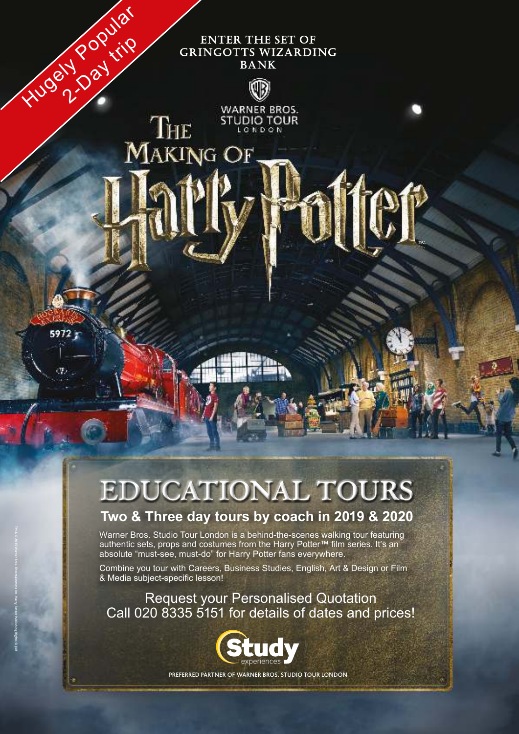# **ENTER THE SET OF** GRINGOTTS WIZARDING **BANK**



**WARNER BROS. STUDIO TOUR** LONDON MAKING OF

THE

# **EDUCATIONAL TOURS**

# **Two & Three day tours by coach in 2019 & 2020**

Warner Bros. Studio Tour London is a behind-the-scenes walking tour featuring authentic sets, props and costumes from the Harry Potter™ film series. It's an absolute "must-see, must-do" for Harry Potter fans everywhere.

Combine you tour with Careers, Business Studies, English, Art & Design or Film & Media subject-specific lesson!

TM & © 2015 Warner Bros. Entertainment Inc. Harry Potter Publishing Rights © JKR

Hugely Pay trip

 $5972:$ 

Request your Personalised Quotation Call 020 8335 5151 for details of dates and prices!



PREFERRED PARTNER OF WARNER BROS. STUDIO TOUR LONDON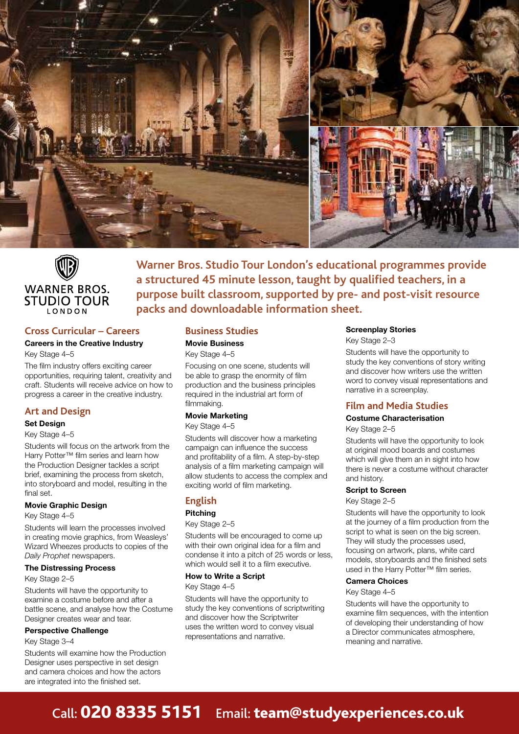



# **Cross Curricular – Careers**

# **Careers in the Creative Industry**

Key Stage 4–5

The film industry offers exciting career opportunities, requiring talent, creativity and craft. Students will receive advice on how to progress a career in the creative industry.

# **Art and Design**

# **Set Design**

Key Stage 4–5

Students will focus on the artwork from the Harry Potter™ film series and learn how the Production Designer tackles a script brief, examining the process from sketch, into storyboard and model, resulting in the final set.

#### **Movie Graphic Design**

#### Key Stage 4–5

Students will learn the processes involved in creating movie graphics, from Weasleys' Wizard Wheezes products to copies of the *Daily Prophet* newspapers.

#### **The Distressing Process**

#### Key Stage 2–5

Students will have the opportunity to examine a costume before and after a battle scene, and analyse how the Costume Designer creates wear and tear.

#### **Perspective Challenge**

Key Stage 3–4

Students will examine how the Production Designer uses perspective in set design and camera choices and how the actors are integrated into the finished set.

# **Business Studies**

# **Movie Business**

Key Stage 4–5 Focusing on one scene, students will be able to grasp the enormity of film production and the business principles required in the industrial art form of filmmaking.

**packs and downloadable information sheet.**

# **Movie Marketing**

Key Stage 4–5

Students will discover how a marketing campaign can influence the success and profitability of a film. A step-by-step analysis of a film marketing campaign will allow students to access the complex and exciting world of film marketing.

# **English**

# **Pitching**

Key Stage 2–5

Students will be encouraged to come up with their own original idea for a film and condense it into a pitch of 25 words or less, which would sell it to a film executive.

#### **How to Write a Script**

# Key Stage 4–5

Students will have the opportunity to study the key conventions of scriptwriting and discover how the Scriptwriter uses the written word to convey visual representations and narrative.

# **Screenplay Stories**

Key Stage 2–3

**Warner Bros. Studio Tour London's educational programmes provide** 

**a structured 45 minute lesson, taught by qualified teachers, in a purpose built classroom, supported by pre- and post-visit resource** 

> Students will have the opportunity to study the key conventions of story writing and discover how writers use the written word to convey visual representations and narrative in a screenplay.

# **Film and Media Studies**

# **Costume Characterisation**

Key Stage 2–5

Students will have the opportunity to look at original mood boards and costumes which will give them an in sight into how there is never a costume without character and history.

#### **Script to Screen**

Key Stage 2–5

Students will have the opportunity to look at the journey of a film production from the script to what is seen on the big screen. They will study the processes used, focusing on artwork, plans, white card models, storyboards and the finished sets used in the Harry Potter™ film series.

#### **Camera Choices**

#### Key Stage 4–5

Students will have the opportunity to examine film sequences, with the intention of developing their understanding of how a Director communicates atmosphere, meaning and narrative.

# Call: 020 8335 5151 Email: team@studyexperiences.co.uk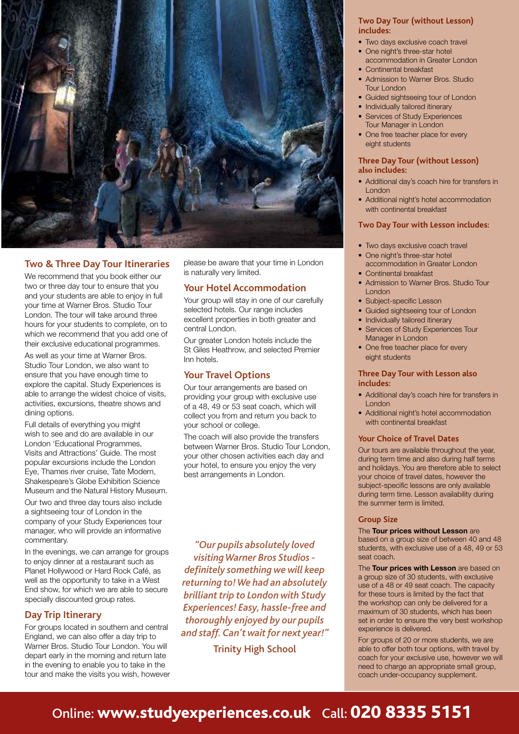

# **Two & Three Day Tour Itineraries**

We recommend that you book either our two or three day tour to ensure that you and your students are able to enjoy in full your time at Warner Bros. Studio Tour London. The tour will take around three hours for your students to complete, on to which we recommend that you add one of their exclusive educational programmes.

As well as your time at Warner Bros. Studio Tour London, we also want to ensure that you have enough time to explore the capital. Study Experiences is able to arrange the widest choice of visits, activities, excursions, theatre shows and dining options.

Full details of everything you might wish to see and do are available in our London 'Educational Programmes, Visits and Attractions' Guide. The most popular excursions include the London Eye, Thames river cruise, Tate Modern, Shakespeare's Globe Exhibition Science Museum and the Natural History Museum.

Our two and three day tours also include a sightseeing tour of London in the company of your Study Experiences tour manager, who will provide an informative commentary.

In the evenings, we can arrange for groups to enjoy dinner at a restaurant such as Planet Hollywood or Hard Rock Café, as well as the opportunity to take in a West End show, for which we are able to secure specially discounted group rates.

# **Day Trip Itinerary**

For groups located in southern and central England, we can also offer a day trip to Warner Bros. Studio Tour London. You will depart early in the morning and return late in the evening to enable you to take in the tour and make the visits you wish, however please be aware that your time in London is naturally very limited.

# **Your Hotel Accommodation**

Your group will stay in one of our carefully selected hotels. Our range includes excellent properties in both greater and central London.

Our greater London hotels include the St Giles Heathrow, and selected Premier Inn hotels.

# **Your Travel Options**

Our tour arrangements are based on providing your group with exclusive use of a 48, 49 or 53 seat coach, which will collect you from and return you back to your school or college.

The coach will also provide the transfers between Warner Bros. Studio Tour London, your other chosen activities each day and your hotel, to ensure you enjoy the very best arrangements in London.

*"Our pupils absolutely loved visiting Warner Bros Studios definitely something we will keep returning to! We had an absolutely brilliant trip to London with Study Experiences! Easy, hassle-free and thoroughly enjoyed by our pupils and staff. Can't wait for next year!"*

Trinity High School

# **Two Day Tour (without Lesson) includes:**

- Two days exclusive coach travel
- One night's three-star hotel
- accommodation in Greater London
- Continental breakfast
- Admission to Warner Bros. Studio Tour London
- Guided sightseeing tour of London
- Individually tailored itinerary
- Services of Study Experiences Tour Manager in London
- One free teacher place for every eight students

# **Three Day Tour (without Lesson) also includes:**

- Additional day's coach hire for transfers in London
- Additional night's hotel accommodation with continental breakfast

# **Two Day Tour with Lesson includes:**

- Two days exclusive coach travel
- One night's three-star hotel
- accommodation in Greater London • Continental breakfast
- Admission to Warner Bros. Studio Tour London
- Subject-specific Lesson
- Guided sightseeing tour of London
- Individually tailored itinerary
- Services of Study Experiences Tour Manager in London
- One free teacher place for every eight students

# **Three Day Tour with Lesson also includes:**

- Additional day's coach hire for transfers in London
- Additional night's hotel accommodation with continental breakfast

# **Your Choice of Travel Dates**

Our tours are available throughout the year, during term time and also during half terms and holidays. You are therefore able to select your choice of travel dates, however the subject-specific lessons are only available during term time. Lesson availability during the summer term is limited.

# **Group Size**

# The **Tour prices without Lesson** are

based on a group size of between 40 and 48 students, with exclusive use of a 48, 49 or 53 seat coach.

The **Tour prices with Lesson** are based on a group size of 30 students, with exclusive use of a 48 or 49 seat coach. The capacity for these tours is limited by the fact that the workshop can only be delivered for a maximum of 30 students, which has been set in order to ensure the very best workshop experience is delivered.

For groups of 20 or more students, we are able to offer both tour options, with travel by coach for your exclusive use, however we will need to charge an appropriate small group, coach under-occupancy supplement.

# Online: www.studyexperiences.co.uk Call: 020 8335 5151